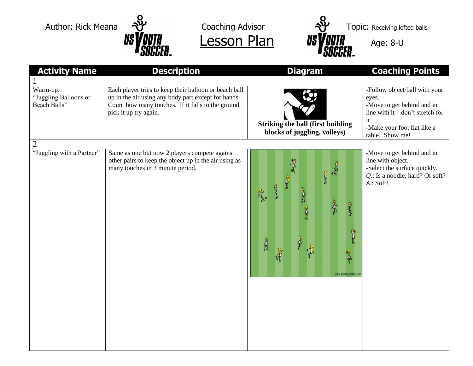



| <b>Activity Name</b>                              | <b>Description</b>                                                                                                                                                                          | <b>Diagram</b>                                                            | <b>Coaching Points</b>                                                                                                                                         |
|---------------------------------------------------|---------------------------------------------------------------------------------------------------------------------------------------------------------------------------------------------|---------------------------------------------------------------------------|----------------------------------------------------------------------------------------------------------------------------------------------------------------|
|                                                   |                                                                                                                                                                                             |                                                                           |                                                                                                                                                                |
| Warm-up:<br>"Juggling Balloons or<br>Beach Balls" | Each player tries to keep their balloon or beach ball<br>up in the air using any body part except for hands.<br>Count how many touches. If it falls to the ground,<br>pick it up try again. | <b>Striking the ball (first building</b><br>blocks of juggling, volleys)  | -Follow object/ball with your<br>eyes.<br>-Move to get behind and in<br>line with it-don't stretch for<br>it<br>-Make your foot flat like a<br>table. Show me! |
| $\overline{2}$                                    |                                                                                                                                                                                             |                                                                           |                                                                                                                                                                |
| "Juggling with a Partner"                         | Same as one but now 2 players compete against<br>other pairs to keep the object up in the air using as<br>many touches in 3 minute period.                                                  | 實<br><b>BRE</b><br>8<br>$\mathbb{P}$<br>À<br>R<br>www.sports-graphics.com | -Move to get behind and in<br>line with object.<br>-Select the surface quickly.<br>Q.: Is a noodle, hard? Or soft?<br>A.: Soft!                                |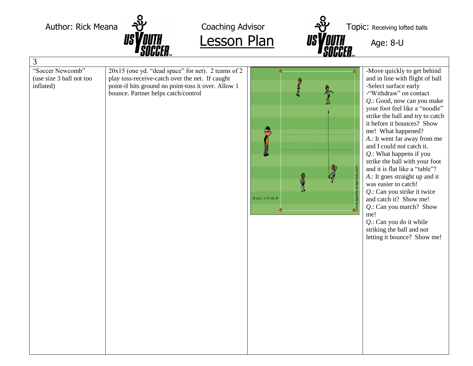



| 3                                                         |                                                                                                                                                                                                     |                               |                                                                                                                                                                                                                                                                                                                                                                                                                                                                                                                                                                                                                                                                                      |  |
|-----------------------------------------------------------|-----------------------------------------------------------------------------------------------------------------------------------------------------------------------------------------------------|-------------------------------|--------------------------------------------------------------------------------------------------------------------------------------------------------------------------------------------------------------------------------------------------------------------------------------------------------------------------------------------------------------------------------------------------------------------------------------------------------------------------------------------------------------------------------------------------------------------------------------------------------------------------------------------------------------------------------------|--|
| "Soccer Newcomb"<br>(use size 3 ball not too<br>inflated) | 20x15 (one yd. "dead space" for net). 2 teams of 2<br>play toss-receive-catch over the net. If caught<br>point-if hits ground no point-toss it over. Allow 1<br>bounce. Partner helps catch/control | J<br>Ф<br>20 yds L x 15 yds W | -Move quickly to get behind<br>and in line with flight of ball<br>-Select surface early<br>-"Withdraw" on contact<br>Q.: Good, now can you make<br>your foot feel like a "noodle"<br>strike the ball and try to catch<br>it before it bounces? Show<br>me! What happened?<br>A.: It went far away from me<br>and I could not catch it.<br>Q.: What happens if you<br>strike the ball with your foot<br>and it is flat like a "table"?<br>A.: It goes straight up and it<br>was easier to catch!<br>Q.: Can you strike it twice<br>and catch it? Show me!<br>Q.: Can you march? Show<br>me!<br>$Q$ .: Can you do it while<br>striking the ball and not<br>letting it bounce? Show me! |  |